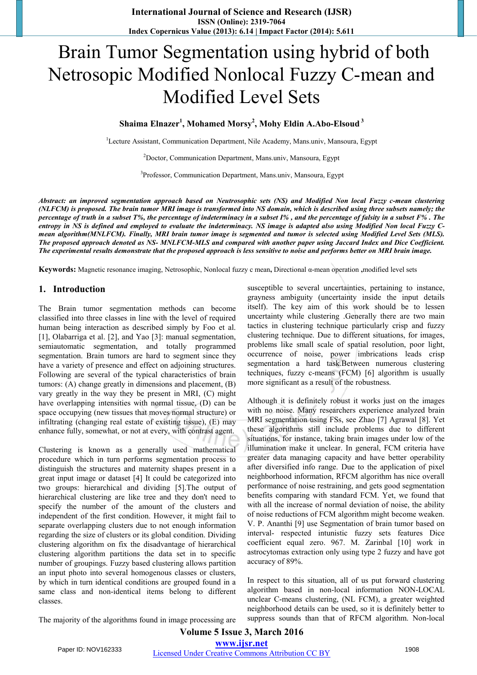# Brain Tumor Segmentation using hybrid of both Netrosopic Modified Nonlocal Fuzzy C-mean and Modified Level Sets

**Shaima Elnazer<sup>1</sup> , Mohamed Morsy<sup>2</sup> , Mohy Eldin A.Abo-Elsoud<sup>3</sup>**

<sup>1</sup>Lecture Assistant, Communication Department, Nile Academy, Mans.univ, Mansoura, Egypt

<sup>2</sup>Doctor, Communication Department, Mans.univ, Mansoura, Egypt

<sup>3</sup>Professor, Communication Department, Mans.univ, Mansoura, Egypt

*Abstract: an improved segmentation approach based on Neutrosophic sets (NS) and Modified Non local Fuzzy c-mean clustering (NLFCM) is proposed. The brain tumor MRI image is transformed into NS domain, which is described using three subsets namely; the percentage of truth in a subset T%, the percentage of indeterminacy in a subset I% , and the percentage of falsity in a subset F% . The entropy in NS is defined and employed to evaluate the indeterminacy. NS image is adapted also using Modified Non local Fuzzy Cmean algorithm(MNLFCM). Finally, MRI brain tumor image is segmented and tumor is selected using Modified Level Sets (MLS). The proposed approach denoted as NS- MNLFCM-MLS and compared with another paper using Jaccard Index and Dice Coefficient. The experimental results demonstrate that the proposed approach is less sensitive to noise and performs better on MRI brain image.* 

**Keywords:** Magnetic resonance imaging, Netrosophic, Nonlocal fuzzy c mean**,** Directional α-mean operation **,**modified level sets

## **1. Introduction**

The Brain tumor segmentation methods can become classified into three classes in line with the level of required human being interaction as described simply by Foo et al. [1], Olabarriga et al. [2], and Yao [3]: manual segmentation, semiautomatic segmentation, and totally programmed segmentation. Brain tumors are hard to segment since they have a variety of presence and effect on adjoining structures. Following are several of the typical characteristics of brain tumors: (A) change greatly in dimensions and placement, (B) vary greatly in the way they be present in MRI, (C) might have overlapping intensities with normal tissue, (D) can be space occupying (new tissues that moves normal structure) or infiltrating (changing real estate of existing tissue), (E) may enhance fully, somewhat, or not at every, with contrast agent.

Clustering is known as a generally used mathematical procedure which in turn performs segmentation process to distinguish the structures and maternity shapes present in a great input image or dataset [4] It could be categorized into two groups: hierarchical and dividing [5].The output of hierarchical clustering are like tree and they don't need to specify the number of the amount of the clusters and independent of the first condition. However, it might fail to separate overlapping clusters due to not enough information regarding the size of clusters or its global condition. Dividing clustering algorithm on fix the disadvantage of hierarchical clustering algorithm partitions the data set in to specific number of groupings. Fuzzy based clustering allows partition an input photo into several homogenous classes or clusters, by which in turn identical conditions are grouped found in a same class and non-identical items belong to different classes.

susceptible to several uncertainties, pertaining to instance, grayness ambiguity (uncertainty inside the input details itself). The key aim of this work should be to lessen uncertainty while clustering .Generally there are two main tactics in clustering technique particularly crisp and fuzzy clustering technique. Due to different situations, for images, problems like small scale of spatial resolution, poor light, occurrence of noise, power imbrications leads crisp segmentation a hard task.Between numerous clustering techniques, fuzzy c-means (FCM) [6] algorithm is usually more significant as a result of the robustness.

Although it is definitely robust it works just on the images with no noise. Many researchers experience analyzed brain MRI segmentation using FSs, see Zhao [7] Agrawal [8]. Yet these algorithms still include problems due to different situations, for instance, taking brain images under low of the illumination make it unclear. In general, FCM criteria have greater data managing capacity and have better operability after diversified info range. Due to the application of pixel neighborhood information, RFCM algorithm has nice overall performance of noise restraining, and gets good segmentation benefits comparing with standard FCM. Yet, we found that with all the increase of normal deviation of noise, the ability of noise reductions of FCM algorithm might become weaken. V. P. Ananthi [9] use Segmentation of brain tumor based on interval- respected intunistic fuzzy sets features Dice coefficient equal zero. 967. [M. Zarinbal](http://ieeexplore.ieee.org/xpl/articleDetails.jsp?tp=&arnumber=6893890) [10] work in astrocytomas extraction only using type 2 fuzzy and have got accuracy of 89%.

In respect to this situation, all of us put forward clustering algorithm based in non-local information NON-LOCAL unclear C-means clustering, (NL FCM), a greater weighted neighborhood details can be used, so it is definitely better to suppress sounds than that of RFCM algorithm. Non-local

The majority of the algorithms found in image processing are

**Volume 5 Issue 3, March 2016 www.ijsr.net** Paper ID: NOV162333 Licensed Under Creative Commons Attribution CC BY 1908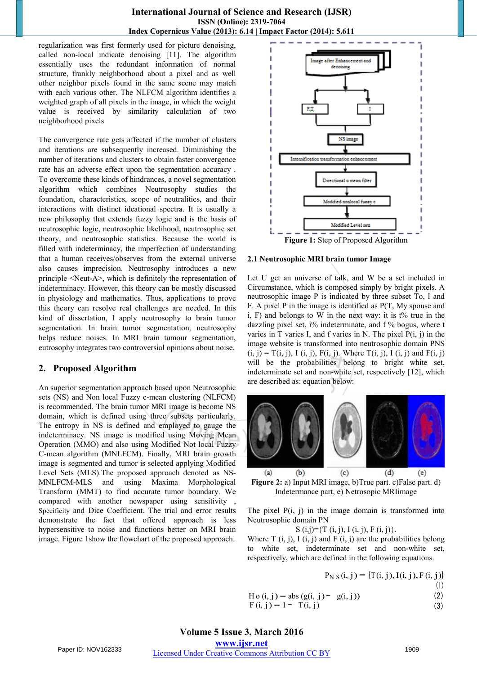#### **International Journal of Science and Research (IJSR) ISSN (Online): 2319-7064 Index Copernicus Value (2013): 6.14 | Impact Factor (2014): 5.611**

regularization was first formerly used for picture denoising, called non-local indicate denoising [11]. The algorithm essentially uses the redundant information of normal structure, frankly neighborhood about a pixel and as well other neighbor pixels found in the same scene may match with each various other. The NLFCM algorithm identifies a weighted graph of all pixels in the image, in which the weight value is received by similarity calculation of two neighborhood pixels

The convergence rate gets affected if the number of clusters and iterations are subsequently increased. Diminishing the number of iterations and clusters to obtain faster convergence rate has an adverse effect upon the segmentation accuracy . To overcome these kinds of hindrances, a novel segmentation algorithm which combines Neutrosophy studies the foundation, characteristics, scope of neutralities, and their interactions with distinct ideational spectra. It is usually a new philosophy that extends fuzzy logic and is the basis of neutrosophic logic, neutrosophic likelihood, neutrosophic set theory, and neutrosophic statistics. Because the world is filled with indeterminacy, the imperfection of understanding that a human receives/observes from the external universe also causes imprecision. Neutrosophy introduces a new principle <Neut-A>, which is definitely the representation of indeterminacy. However, this theory can be mostly discussed in physiology and mathematics. Thus, applications to prove this theory can resolve real challenges are needed. In this kind of dissertation, I apply neutrosophy to brain tumor segmentation. In brain tumor segmentation, neutrosophy helps reduce noises. In MRI brain tumour segmentation, eutrosophy integrates two controversial opinions about noise.

## **2. Proposed Algorithm**

An superior segmentation approach based upon Neutrosophic sets (NS) and Non local Fuzzy c-mean clustering (NLFCM) is recommended. The brain tumor MRI image is become NS domain, which is defined using three subsets particularly. The entropy in NS is defined and employed to gauge the indeterminacy. NS image is modified using Moving Mean Operation (MMO) and also using Modified Not local Fuzzy C-mean algorithm (MNLFCM). Finally, MRI brain growth image is segmented and tumor is selected applying Modified Level Sets (MLS).The proposed approach denoted as NS-MNLFCM-MLS and using Maxima Morphological Transform (MMT) to find accurate tumor boundary. We compared with another newspaper using sensitivity , Specificity and Dice Coefficient. The trial and error results demonstrate the fact that offered approach is less hypersensitive to noise and functions better on MRI brain image. Figure 1show the flowchart of the proposed approach.



**2.1 Neutrosophic MRI brain tumor Image** 

Let U get an universe of talk, and W be a set included in Circumstance, which is composed simply by bright pixels. A neutrosophic image P is indicated by three subset To, I and F. A pixel P in the image is identified as P(T, My spouse and i, F) and belongs to W in the next way: it is t% true in the dazzling pixel set, i% indeterminate, and f % bogus, where t varies in T varies I, and f varies in N. The pixel  $P(i, j)$  in the image website is transformed into neutrosophic domain PNS  $(i, j) = T(i, j), I(i, j), F(i, j).$  Where  $T(i, j), I(i, j)$  and  $F(i, j)$ will be the probabilities belong to bright white set, indeterminate set and non-white set, respectively [12], which are described as: equation below:



**Figure 2:** a) Input MRI image, b)True part. c)False part. d) Indetermance part, e) Netrosopic MRIimage

The pixel  $P(i, j)$  in the image domain is transformed into Neutrosophic domain PN

S  $(i,j) = \{T(i,j), I(i,j), F(i,j)\}.$ 

Where  $T(i, j)$ ,  $I(i, j)$  and  $F(i, j)$  are the probabilities belong to white set, indeterminate set and non-white set, respectively, which are defined in the following equations.

$$
P_{N\ S}(i,j) = \{T(i,j), I(i,j), F(i,j)\}
$$

(1)

H o (i, j) = abs (g(i, j) - g(i, j)) (2)

$$
F(i, j) = 1 - T(i, j)
$$
 (3)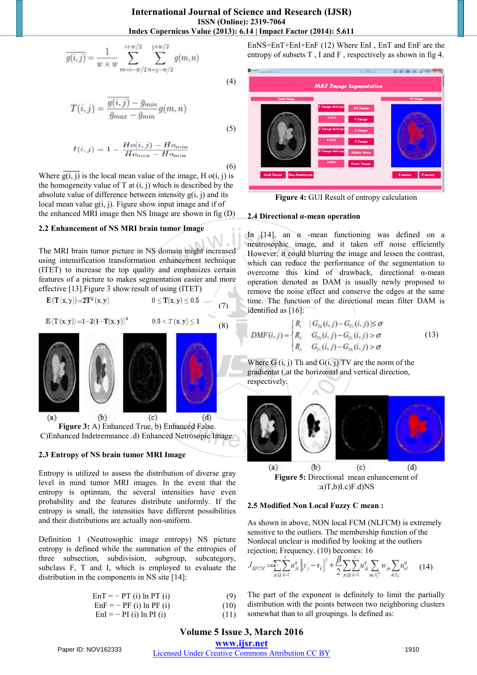$$
\overline{g(i,j)} = \frac{1}{w \times w} \sum_{m=1-w/2}^{1+w/2} \sum_{n=1-w/2}^{1+w/2} g(m,n)
$$

$$
(\mathbf{4})
$$

(5)

(6)

 $\overline{I}$ 

$$
T(i,j) = \frac{g(i,j) - \bar{g}_{min}}{\bar{g}_{max} - \bar{g}_{min}} g(m,n)
$$

$$
I(i,j) = 1 - \frac{Ho(i,j) - Ho_{min}}{\bar{H}o_{max} - \bar{H}o_{min}}
$$

Where  $\overline{g(i, j)}$  is the local mean value of the image, H o(i, j) is the homogeneity value of  $T$  at  $(i, j)$  which is described by the absolute value of difference between intensity  $g(i, j)$  and its local mean value  $g(i, j)$ . Figure show input image and if of the enhanced MRI image then NS Image are shown in fig (D)

#### **2.2 Enhancement of NS MRI brain tumor Image**

The MRI brain tumor picture in NS domain might increased using intensification transformation enhancement technique (ITET) to increase the top quality and emphasizes certain features of a picture to makes segmentation easier and more effective [13].Figure 3 show result of using (ITET)

$$
\mathbf{E}\left(\mathbf{T}\left(\mathbf{x},\mathbf{y}\right)\right) = 2\mathbf{T}^2\left(\mathbf{x},\mathbf{y}\right) \qquad \qquad 0 \leq \mathbf{T}(\mathbf{x},\mathbf{y}) \leq 0.5 \qquad (7)
$$

$$
\mathbf{E}(\mathbf{T}(x,y)) = 1 - 2(1 - \mathbf{T}(x,y))^2 \qquad \qquad 0.5 < T(x,y) \le 1 \tag{8}
$$



**Figure 3:** A) Enhanced True, b) Enhanced False. C)Enhanced Indetremnance .d) Enhanced Netrosopic Image.

#### **2.3 Entropy of NS brain tumor MRI Image**

Entropy is utilized to assess the distribution of diverse gray level in mind tumor MRI images. In the event that the entropy is optimum, the several intensities have even probability and the features distribute uniformly. If the entropy is small, the intensities have different possibilities and their distributions are actually non-uniform.

Definition 1 (Neutrosophic image entropy) NS picture entropy is defined while the summation of the entropies of three subsection, subdivision, subgroup, subcategory, subclass F, T and I, which is employed to evaluate the distribution in the components in NS site [14]:

| $EnT = - PT$ (i) $In PT$ (i) | (9)  |
|------------------------------|------|
| $EnF = - PF$ (i) ln PF (i)   | (10) |

| --- | 11 (1) 111 11 (1)        | $\sqrt{1}$ |
|-----|--------------------------|------------|
|     | $EnI = - PI(i) ln PI(i)$ | (11)       |

EnNS=EnT+EnI+EnF (12) Where EnI , EnT and EnF are the entropy of subsets T , I and F , respectively as shown in fig 4.



**Figure 4:** GUI Result of entropy calculation

#### **2.4 Directional α-mean operation**

In [14], an  $\alpha$  -mean functioning was defined on a neutrosophic image, and it taken off noise efficiently However, it could blurring the image and lessen the contrast, which can reduce the performance of the segmentation to overcome this kind of drawback, directional α-mean operation denoted as DAM is usually newly proposed to remove the noise effect and conserve the edges at the same time. The function of the directional mean filter DAM is identified as [16]:

$$
M F(i, j) = \begin{cases} R_{1} & |G_{T_{h}}(i, j) - G_{T_{h}}(i, j)| \leq \sigma \\ R_{2} & G_{T_{h}}(i, j) - G_{T_{h}}(i, j) > \sigma \\ R_{3} & G_{T_{h}}(i, j) - G_{T_{h}}(i, j) > \sigma \end{cases} \tag{13}
$$

Where  $G(i, j)$  Th and  $G(i, j)$  TV are the norm of the gradientat (,at the horizontal and vertical direction, respectively.



 $(a)T,b)I.c$  $F.d)NS$ 

#### **2.5 Modified Non Local Fuzzy C mean :**

As shown in above, NON local FCM (NLFCM) is extremely sensitive to the outliers. The membership function of the Nonlocal unclear is modified by looking at the outliers rejection; Frequency. (10) becomes: 16

$$
J_{RFCM} = \sum_{j \in \Omega} \sum_{k=1}^{N} u_{jk}^{q} \| y_j - v_k \|^{2} + \frac{\beta}{2} \sum_{j \in \Omega} \sum_{k=1}^{N} u_{jk}^{q} \sum_{n \in N_{j}^{R}} w_{jn} \sum_{l \in L_{k}} u_{nl}^{q}
$$
 (14)

The part of the exponent is definitely to limit the partially distribution with the points between two neighboring clusters somewhat than to all groupings. Is defined as:

## **Volume 5 Issue 3, March 2016**

### **www.ijsr.net** Paper ID: NOV162333 Licensed Under Creative Commons Attribution CC BY 1910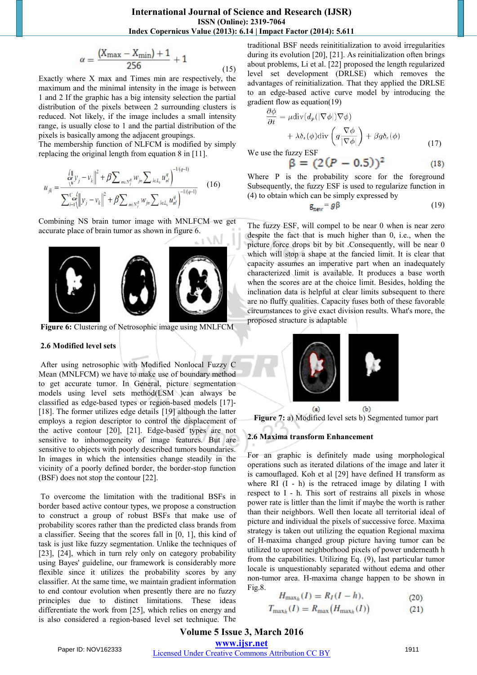$$
\alpha = \frac{(X_{\text{max}} - X_{\text{min}}) + 1}{256} + 1 \tag{15}
$$

Exactly where X max and Times min are respectively, the maximum and the minimal intensity in the image is between 1 and 2 If the graphic has a big intensity selection the partial distribution of the pixels between 2 surrounding clusters is reduced. Not likely, if the image includes a small intensity range, is usually close to 1 and the partial distribution of the pixels is basically among the adjacent groupings.

The membership function of NLFCM is modified by simply replacing the original length from equation 8 in [11].

$$
u_{jk} = \frac{\int_{\alpha}^{1} y_j - v_k \right|^2 + \beta \sum_{n \in N_j^R} w_{jn} \sum_{l \in L_k} u_{nl}^q}{\sum_{i=1}^{C} \sum_{j=1}^{d} ||y_j - v_k||^2 + \beta \sum_{n \in N_j^R} w_{jn} \sum_{l \in L_k} u_{nl}^q} \qquad (16)
$$

Combining NS brain tumor image with MNLFCM we get accurate place of brain tumor as shown in figure 6.



**Figure 6:** Clustering of Netrosophic image using MNLFCM

#### **2.6 Modified level sets**

 After using netrosophic with Modified Nonlocal Fuzzy C Mean (MNLFCM) we have to make use of boundary method to get accurate tumor. In General, picture segmentation models using level sets method(LSM )can always be classified as edge-based types or region-based models [17]- [18]. The former utilizes edge details [19] although the latter employs a region descriptor to control the displacement of the active contour [20], [21]. Edge-based types are not sensitive to inhomogeneity of image features. But are sensitive to objects with poorly described tumors boundaries. In images in which the intensities change steadily in the vicinity of a poorly defined border, the border-stop function (BSF) does not stop the contour [22].

To overcome the limitation with the traditional BSFs in border based active contour types, we propose a construction to construct a group of robust BSFs that make use of probability scores rather than the predicted class brands from a classifier. Seeing that the scores fall in [0, 1], this kind of task is just like fuzzy segmentation. Unlike the techniques of [23], [24], which in turn rely only on category probability using Bayes' guideline, our framework is considerably more flexible since it utilizes the probability scores by any classifier. At the same time, we maintain gradient information to end contour evolution when presently there are no fuzzy principles due to distinct limitations. These ideas differentiate the work from [25], which relies on energy and is also considered a region-based level set technique. The

traditional BSF needs reinititialization to avoid irregularities during its evolution [20], [21]. As reinitialization often brings about problems, Li et al. [22] proposed the length regularized level set development (DRLSE) which removes the advantages of reinitialization. That they applied the DRLSE to an edge-based active curve model by introducing the gradient flow as equation(19)

$$
\frac{\partial \phi}{\partial t} = \mu \text{div}(d_p(|\nabla \phi|) \nabla \phi) \n+ \lambda \delta_{\epsilon}(\phi) \text{div}\left(g \frac{\nabla \phi}{|\nabla \phi|}\right) + \beta g \delta_{\epsilon}(\phi)
$$
\n(17)

We use the fuzzy ESF

$$
\beta = (2(P - 0.5))^2 \tag{18}
$$

Where P is the probability score for the foreground Subsequently, the fuzzy ESF is used to regularize function in (4) to obtain which can be simply expressed by

$$
g_{new} = g\beta \tag{19}
$$

The fuzzy ESF, will compel to be near 0 when is near zero despite the fact that is much higher than 0, i.e., when the picture force drops bit by bit .Consequently, will be near 0 which will stop a shape at the fancied limit. It is clear that capacity assumes an imperative part when an inadequately characterized limit is available. It produces a base worth when the scores are at the choice limit. Besides, holding the inclination data is helpful at clear limits subsequent to there are no fluffy qualities. Capacity fuses both of these favorable circumstances to give exact division results. What's more, the proposed structure is adaptable



**Figure 7:** a) Modified level sets b) Segmented tumor part

#### **2.6 Maxima transform Enhancement**

For an graphic is definitely made using morphological operations such as iterated dilations of the image and later it is camouflaged. Koh et al [29] have defined H transform as where  $RI (I - h)$  is the retraced image by dilating I with respect to I - h. This sort of restrains all pixels in whose power rate is littler than the limit if maybe the worth is rather than their neighbors. Well then locate all territorial ideal of picture and individual the pixels of successive force. Maxima strategy is taken out utilizing the equation Regional maxima of H-maxima changed group picture having tumor can be utilized to uproot neighborhood pixels of power underneath h from the capabilities. Utilizing Eq. (9), last particular tumor locale is unquestionably separated without edema and other non-tumor area. H-maxima change happen to be shown in Fig.8.

$$
H_{\max_h}(I) = R_I(I - h),
$$
 (20)

$$
T_{\max h}(I) = R_{\max}(H_{\max h}(I))
$$
\n(21)

# **Volume 5 Issue 3, March 2016**

**www.ijsr.net**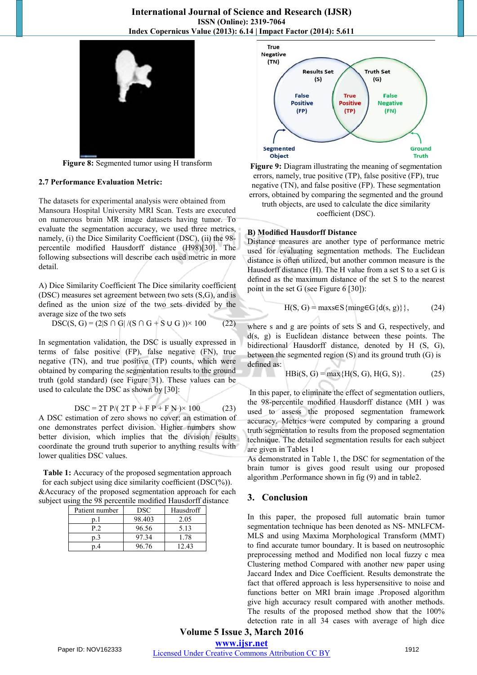

**Figure 8:** Segmented tumor using H transform

#### **2.7 Performance Evaluation Metric:**

The datasets for experimental analysis were obtained from Mansoura Hospital University MRI Scan. Tests are executed on numerous brain MR image datasets having tumor. To evaluate the segmentation accuracy, we used three metrics, namely, (i) the Dice Similarity Coefficient (DSC), (ii) the 98 percentile modified Hausdorff distance (H98)[30]. The following subsections will describe each used metric in more detail.

A) Dice Similarity Coefficient The Dice similarity coefficient (DSC) measures set agreement between two sets (S,G), and is defined as the union size of the two sets divided by the average size of the two sets

DSC(S, G) = 
$$
(2|S \cap G| / (S \cap G + S \cup G)) \times 100
$$
 (22)

In segmentation validation, the DSC is usually expressed in terms of false positive (FP), false negative (FN), true negative (TN), and true positive (TP) counts, which were obtained by comparing the segmentation results to the ground truth (gold standard) (see Figure 31). These values can be used to calculate the DSC as shown by [30]:

DSC = 2T P/( 2T P + F P + F N )× 100 (23)

A DSC estimation of zero shows no cover; an estimation of one demonstrates perfect division. Higher numbers show better division, which implies that the division results coordinate the ground truth superior to anything results with lower qualities DSC values.

**Table 1:** Accuracy of the proposed segmentation approach for each subject using dice similarity coefficient (DSC(%)). &Accuracy of the proposed segmentation approach for each subject using the 98 percentile modified Hausdorff distance

| Patient number | <b>DSC</b> | Hausdroff |
|----------------|------------|-----------|
|                | 98.403     | 2.05      |
| P.2            | 96.56      | 5.13      |
| p.3            | 97.34      | 1.78      |
|                | 96.76      | 12.43     |



**Figure 9:** Diagram illustrating the meaning of segmentation errors, namely, true positive (TP), false positive (FP), true negative (TN), and false positive (FP). These segmentation errors, obtained by comparing the segmented and the ground truth objects, are used to calculate the dice similarity coefficient (DSC).

#### **B) Modified Hausdorff Distance**

Distance measures are another type of performance metric used for evaluating segmentation methods. The Euclidean distance is often utilized, but another common measure is the Hausdorff distance (H). The H value from a set S to a set G is defined as the maximum distance of the set S to the nearest point in the set G (see Figure 6 [30]):

$$
H(S, G) = \max s \in S \{ \text{ming} \in G \{ d(s, g) \} \}, \tag{24}
$$

where s and g are points of sets S and G, respectively, and d(s, g) is Euclidean distance between these points. The bidirectional Hausdorff distance, denoted by H (S, G), between the segmented region (S) and its ground truth (G) is defined as:

$$
HBi(S, G) = max{H(S, G), H(G, S)}. (25)
$$

In this paper, to eliminate the effect of segmentation outliers, the 98-percentile modified Hausdorff distance (MH ) was used to assess the proposed segmentation framework accuracy. Metrics were computed by comparing a ground truth segmentation to results from the proposed segmentation technique. The detailed segmentation results for each subject are given in Tables 1

As demonstrated in Table 1, the DSC for segmentation of the brain tumor is gives good result using our proposed algorithm .Performance shown in fig (9) and in table2.

## **3. Conclusion**

In this paper, the proposed full automatic brain tumor segmentation technique has been denoted as NS- MNLFCM-MLS and using Maxima Morphological Transform (MMT) to find accurate tumor boundary. It is based on neutrosophic preprocessing method and Modified non local fuzzy c mea Clustering method Compared with another new paper using Jaccard Index and Dice Coefficient. Results demonstrate the fact that offered approach is less hypersensitive to noise and functions better on MRI brain image .Proposed algorithm give high accuracy result compared with another methods. The results of the proposed method show that the 100% detection rate in all 34 cases with average of high dice

## **Volume 5 Issue 3, March 2016**

**www.ijsr.net**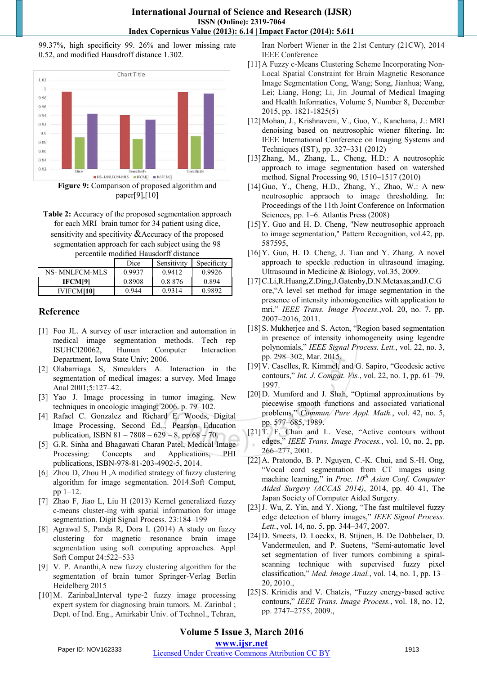## **International Journal of Science and Research (IJSR) ISSN (Online): 2319-7064 Index Copernicus Value (2013): 6.14 | Impact Factor (2014): 5.611**

99.37%, high specificity 99. 26% and lower missing rate 0.52, and modified Hausdroff distance 1.302.



paper[9],[10]

**Table 2:** Accuracy of the proposed segmentation approach for each MRI brain tumor for 34 patient using dice, sensitivity and specitivity & Accuracy of the proposed segmentation approach for each subject using the 98 percentile modified Hausdorff distance

|                   | Dice   | Sensitivity | Specificity |
|-------------------|--------|-------------|-------------|
| NS- MNLFCM-MLS    | 0.9937 | 0.9412      | 0.9926      |
| <b>IFCM[9]</b>    | 0.8908 | 0.8876      | 0.894       |
| <b>IVIFCMI101</b> | 0.944  | 0.9314      | 0.9892      |

# **Reference**

- [1] Foo JL. A survey of user interaction and automation in medical image segmentation methods. Tech rep ISUHCI20062, Human Computer Interaction Department, Iowa State Univ; 2006.
- [2] Olabarriaga S, Smeulders A. Interaction in the segmentation of medical images: a survey. Med Image Anal 2001;5:127–42.
- [3] Yao J. Image processing in tumor imaging. New techniques in oncologic imaging; 2006. p. 79–102.
- [4] Rafael C. Gonzalez and Richard E. Woods, Digital Image Processing, Second Ed.., Pearson Education publication, ISBN 81 – 7808 – 629 – 8, pp.68 – 70.
- [5] G.R. Sinha and Bhagawati Charan Patel, Medical Image Processing: Concepts and Applications, PHI publications, ISBN-978-81-203-4902-5, 2014.
- [6] Zhou D, Zhou H ,A modified strategy of fuzzy clustering algorithm for image segmentation. 2014.Soft Comput, pp 1–12.
- [7] Zhao F, Jiao L, Liu H (2013) Kernel generalized fuzzy c-means cluster-ing with spatial information for image segmentation. Digit Signal Process. 23:184–199
- [8] Agrawal S, Panda R, Dora L (2014) A study on fuzzy clustering for magnetic resonance brain image segmentation using soft computing approaches. Appl Soft Comput 24:522–533
- [9] V. P. Ananthi,A new fuzzy clustering algorithm for the segmentation of brain tumor Springer-Verlag Berlin Heidelberg 2015
- [10[\]M. Zarinbal,](http://ieeexplore.ieee.org/xpl/articleDetails.jsp?tp=&arnumber=6893890)Interval type-2 fuzzy image processing expert system for diagnosing brain tumors. [M. Zarinbal](http://ieeexplore.ieee.org/xpl/articleDetails.jsp?tp=&arnumber=6893890) ; Dept. of Ind. Eng., Amirkabir Univ. of Technol., Tehran,

Iran [Norbert Wiener in the 21st Century \(21CW\), 2014](http://ieeexplore.ieee.org/xpl/mostRecentIssue.jsp?punumber=6884877) [IEEE Conference](http://ieeexplore.ieee.org/xpl/mostRecentIssue.jsp?punumber=6884877) 

- [11]A Fuzzy c-Means Clustering Scheme Incorporating Non-Local Spatial Constraint for Brain Magnetic Resonance Image Segmentation Cong, Wang; Song, Jianhua; Wang, Lei; Liang, Hong; Li, Jin [.Journal of Medical Imaging](http://www.ingentaconnect.com/content/asp/jmihi)  [and Health Informatics,](http://www.ingentaconnect.com/content/asp/jmihi) Volume 5, Number 8, December 2015, pp. 1821-1825(5)
- [12]Mohan, J., Krishnaveni, V., Guo, Y., Kanchana, J.: MRI denoising based on neutrosophic wiener filtering. In: IEEE International Conference on Imaging Systems and Techniques (IST), pp. 327–331 (2012)
- [13]Zhang, M., Zhang, L., Cheng, H.D.: A neutrosophic approach to image segmentation based on watershed method. Signal Processing 90, 1510–1517 (2010)
- [14]Guo, Y., Cheng, H.D., Zhang, Y., Zhao, W.: A new neutrosophic appraoch to image thresholding. In: Proceedings of the 11th Joint Conference on Information Sciences, pp. 1–6. Atlantis Press (2008)
- [15] Y. Guo and H. D. Cheng, "New neutrosophic approach to image segmentation," Pattern Recognition, vol.42, pp. 587595,
- [16] Y. Guo, H. D. Cheng, J. Tian and Y. Zhang. A novel approach to speckle reduction in ultrasound imaging. Ultrasound in Medicine & Biology, vol.35, 2009.
- [17]C.Li,R.Huang,Z.Ding,J.Gatenby,D.N.Metaxas,andJ.C.G ore,"A level set method for image segmentation in the presence of intensity inhomogeneities with application to mri," *IEEE Trans. Image Process.*,vol. 20, no. 7, pp. 2007–2016, 2011.
- [18] S. Mukherjee and S. Acton, "Region based segmentation in presence of intensity inhomogeneity using legendre polynomials," *IEEE Signal Process. Lett.*, vol. 22, no. 3, pp. 298–302, Mar. 2015.
- [19] V. Caselles, R. Kimmel, and G. Sapiro, "Geodesic active contours," *Int. J. Comput. Vis.*, vol. 22, no. 1, pp. 61–79, 1997.
- [20] D. Mumford and J. Shah, "Optimal approximations by piecewise smooth functions and associated variational problems," *Commun. Pure Appl. Math.*, vol. 42, no. 5, pp. 577–685, 1989.
- [21]T. F. Chan and L. Vese, "Active contours without edges," *IEEE Trans. Image Process.*, vol. 10, no. 2, pp. 266–277, 2001.
- [22]A. Pratondo, B. P. Nguyen, C.-K. Chui, and S.-H. Ong, "Vocal cord segmentation from CT images using machine learning," in *Proc. 10th Asian Conf. Computer Aided Surgery (ACCAS 2014)*, 2014, pp. 40–41, The Japan Society of Computer Aided Surgery.
- [23]J. Wu, Z. Yin, and Y. Xiong, "The fast multilevel fuzzy edge detection of blurry images," *IEEE Signal Process. Lett.*, vol. 14, no. 5, pp. 344–347, 2007.
- [24]D. Smeets, D. Loeckx, B. Stijnen, B. De Dobbelaer, D. Vandermeulen, and P. Suetens, "Semi-automatic level set segmentation of liver tumors combining a spiralscanning technique with supervised fuzzy pixel classification," *Med. Image Anal.*, vol. 14, no. 1, pp. 13– 20, 2010.,
- [25]S. Krinidis and V. Chatzis, "Fuzzy energy-based active contours," *IEEE Trans. Image Process.*, vol. 18, no. 12, pp. 2747–2755, 2009.,

# **Volume 5 Issue 3, March 2016**

**www.ijsr.net**